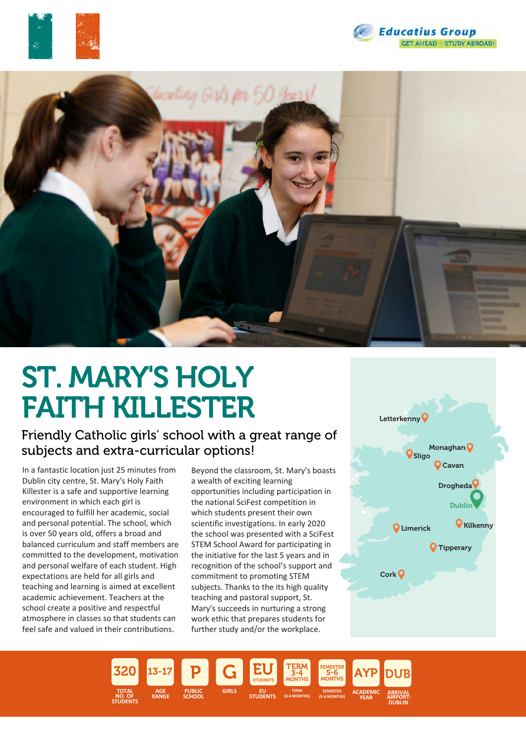





# ST. MARY'S HOLY FAITH KILLESTER

## Friendly Catholic girls' school with a great range of subjects and extra-curricular options!

In a fantastic location just 25 minutes from Dublin city centre, St. Mary's Holy Faith Killester is a safe and supportive learning environment in which each girl is encouraged to fulfill her academic, social and personal potential. The school, which is over 50 years old, offers a broad and balanced curriculum and staff members are committed to the development, motivation and personal welfare of each student. High expectations are held for all girls and teaching and learning is aimed at excellent academic achievement. Teachers at the school create a positive and respectful atmosphere in classes so that students can feel safe and valued in their contributions.

Beyond the classroom, St. Mary's boasts a wealth of exciting learning opportunities including participation in the national SciFest competition in which students present their own scientific investigations. In early 2020 the school was presented with a SciFest STEM School Award for participating in the initiative for the last 5 years and in recognition of the school's support and commitment to promoting STEM subjects. Thanks to the its high quality teaching and pastoral support, St. Mary's succeeds in nurturing a strong work ethic that prepares students for further study and/or the workplace.



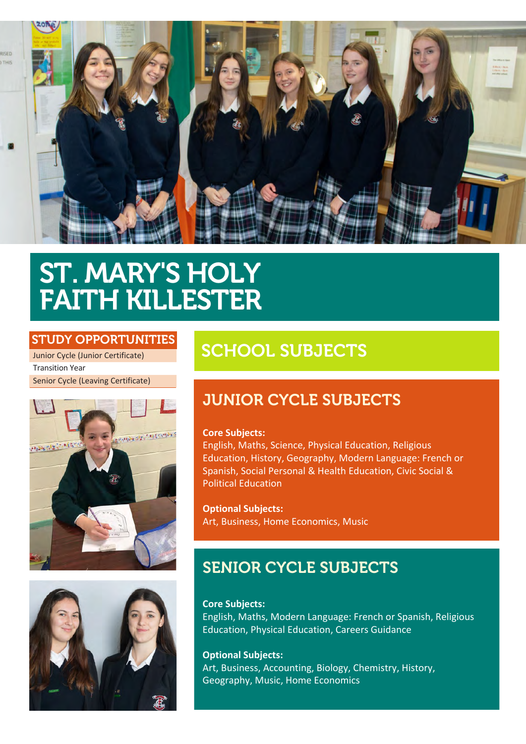



## ST. MARY'S HOLY FAITH KILLESTER

### STUDY OPPORTUNITIES

Junior Cycle (Junior Certificate) Transition Year Senior Cycle (Leaving Certificate)





## SCHOOL SUBJECTS

## JUNIOR CYCLE SUBJECTS

### **Core Subjects:**

English, Maths, Science, Physical Education, Religious Education, History, Geography, Modern Language: French or Spanish, Social Personal & Health Education, Civic Social & Political Education

**Optional Subjects:** Art, Business, Home Economics, Music

## SENIOR CYCLE SUBJECTS

**Core Subjects:** English, Maths, Modern Language: French or Spanish, Religious Education, Physical Education, Careers Guidance

**Optional Subjects:** Art, Business, Accounting, Biology, Chemistry, History, Geography, Music, Home Economics